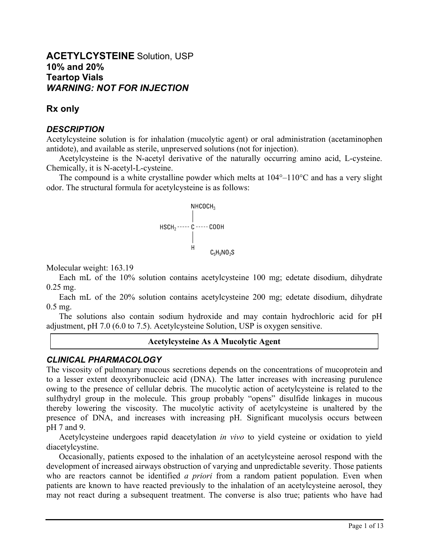# **ACETYLCYSTEINE** Solution, USP **10% and 20% Teartop Vials** *WARNING: NOT FOR INJECTION*

# **Rx only**

# *DESCRIPTION*

Acetylcysteine solution is for inhalation (mucolytic agent) or oral administration (acetaminophen antidote), and available as sterile, unpreserved solutions (not for injection).

Acetylcysteine is the N-acetyl derivative of the naturally occurring amino acid, L-cysteine. Chemically, it is N-acetyl-L-cysteine.

The compound is a white crystalline powder which melts at  $104^{\circ}$ – $110^{\circ}$ C and has a very slight odor. The structural formula for acetylcysteine is as follows:

$$
HSCH_2 \longrightarrow C \longrightarrow COOH
$$
\n
$$
\downarrow
$$
\n
$$
\downarrow
$$
\n
$$
\downarrow
$$
\n
$$
\downarrow
$$
\n
$$
\downarrow
$$
\n
$$
\downarrow
$$
\n
$$
\downarrow
$$
\n
$$
\downarrow
$$
\n
$$
\downarrow
$$
\n
$$
\downarrow
$$
\n
$$
\downarrow
$$
\n
$$
\downarrow
$$
\n
$$
\downarrow
$$
\n
$$
\downarrow
$$
\n
$$
\downarrow
$$
\n
$$
\downarrow
$$
\n
$$
\downarrow
$$
\n
$$
\downarrow
$$
\n
$$
\downarrow
$$
\n
$$
\downarrow
$$
\n
$$
\downarrow
$$
\n
$$
\downarrow
$$
\n
$$
\downarrow
$$
\n
$$
\downarrow
$$
\n
$$
\downarrow
$$
\n
$$
\downarrow
$$
\n
$$
\downarrow
$$
\n
$$
\downarrow
$$
\n
$$
\downarrow
$$
\n
$$
\downarrow
$$
\n
$$
\downarrow
$$
\n
$$
\downarrow
$$
\n
$$
\downarrow
$$
\n
$$
\downarrow
$$
\n
$$
\downarrow
$$
\n
$$
\downarrow
$$
\n
$$
\downarrow
$$
\n
$$
\downarrow
$$
\n
$$
\downarrow
$$
\n
$$
\downarrow
$$
\n
$$
\downarrow
$$
\n
$$
\downarrow
$$
\n
$$
\downarrow
$$
\n
$$
\downarrow
$$
\n
$$
\downarrow
$$
\n
$$
\downarrow
$$
\n
$$
\downarrow
$$
\n
$$
\downarrow
$$
\n
$$
\downarrow
$$
\n
$$
\downarrow
$$
\n
$$
\downarrow
$$
\n
$$
\downarrow
$$
\n
$$
\downarrow
$$
\n
$$
\downarrow
$$
\n
$$
\downarrow
$$
\n
$$
\downarrow
$$
\n
$$
\downarrow
$$
\n
$$
\downarrow
$$
\n
$$
\downarrow
$$
\n
$$
\downarrow
$$
\n
$$
\downarrow
$$
\n
$$
\downarrow
$$
\

Molecular weight: 163.19

Each mL of the 10% solution contains acetylcysteine 100 mg; edetate disodium, dihydrate 0.25 mg.

Each mL of the 20% solution contains acetylcysteine 200 mg; edetate disodium, dihydrate 0.5 mg.

The solutions also contain sodium hydroxide and may contain hydrochloric acid for pH adjustment, pH 7.0 (6.0 to 7.5). Acetylcysteine Solution, USP is oxygen sensitive.

#### **Acetylcysteine As A Mucolytic Agent**

# *CLINICAL PHARMACOLOGY*

The viscosity of pulmonary mucous secretions depends on the concentrations of mucoprotein and to a lesser extent deoxyribonucleic acid (DNA). The latter increases with increasing purulence owing to the presence of cellular debris. The mucolytic action of acetylcysteine is related to the sulfhydryl group in the molecule. This group probably "opens" disulfide linkages in mucous thereby lowering the viscosity. The mucolytic activity of acetylcysteine is unaltered by the presence of DNA, and increases with increasing pH. Significant mucolysis occurs between pH 7 and 9.

Acetylcysteine undergoes rapid deacetylation *in vivo* to yield cysteine or oxidation to yield diacetylcystine.

Occasionally, patients exposed to the inhalation of an acetylcysteine aerosol respond with the development of increased airways obstruction of varying and unpredictable severity. Those patients who are reactors cannot be identified *a priori* from a random patient population. Even when patients are known to have reacted previously to the inhalation of an acetylcysteine aerosol, they may not react during a subsequent treatment. The converse is also true; patients who have had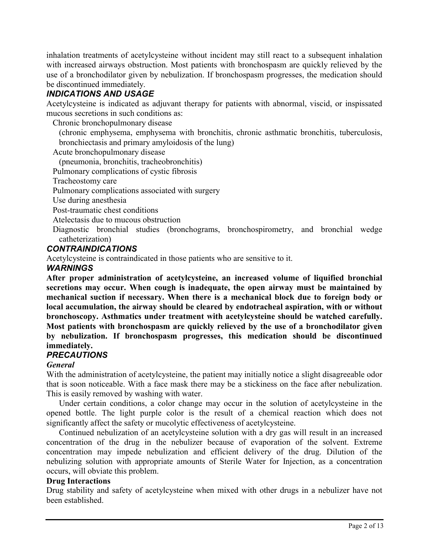inhalation treatments of acetylcysteine without incident may still react to a subsequent inhalation with increased airways obstruction. Most patients with bronchospasm are quickly relieved by the use of a bronchodilator given by nebulization. If bronchospasm progresses, the medication should be discontinued immediately.

# *INDICATIONS AND USAGE*

Acetylcysteine is indicated as adjuvant therapy for patients with abnormal, viscid, or inspissated mucous secretions in such conditions as:

Chronic bronchopulmonary disease

(chronic emphysema, emphysema with bronchitis, chronic asthmatic bronchitis, tuberculosis, bronchiectasis and primary amyloidosis of the lung)

Acute bronchopulmonary disease

(pneumonia, bronchitis, tracheobronchitis)

Pulmonary complications of cystic fibrosis

Tracheostomy care

Pulmonary complications associated with surgery

Use during anesthesia

Post-traumatic chest conditions

Atelectasis due to mucous obstruction

Diagnostic bronchial studies (bronchograms, bronchospirometry, and bronchial wedge catheterization)

# *CONTRAINDICATIONS*

Acetylcysteine is contraindicated in those patients who are sensitive to it.

## *WARNINGS*

**After proper administration of acetylcysteine, an increased volume of liquified bronchial secretions may occur. When cough is inadequate, the open airway must be maintained by mechanical suction if necessary. When there is a mechanical block due to foreign body or local accumulation, the airway should be cleared by endotracheal aspiration, with or without bronchoscopy. Asthmatics under treatment with acetylcysteine should be watched carefully. Most patients with bronchospasm are quickly relieved by the use of a bronchodilator given by nebulization. If bronchospasm progresses, this medication should be discontinued immediately.**

# *PRECAUTIONS*

## *General*

With the administration of acetylcysteine, the patient may initially notice a slight disagreeable odor that is soon noticeable. With a face mask there may be a stickiness on the face after nebulization. This is easily removed by washing with water.

Under certain conditions, a color change may occur in the solution of acetylcysteine in the opened bottle. The light purple color is the result of a chemical reaction which does not significantly affect the safety or mucolytic effectiveness of acetylcysteine.

Continued nebulization of an acetylcysteine solution with a dry gas will result in an increased concentration of the drug in the nebulizer because of evaporation of the solvent. Extreme concentration may impede nebulization and efficient delivery of the drug. Dilution of the nebulizing solution with appropriate amounts of Sterile Water for Injection, as a concentration occurs, will obviate this problem.

#### **Drug Interactions**

Drug stability and safety of acetylcysteine when mixed with other drugs in a nebulizer have not been established.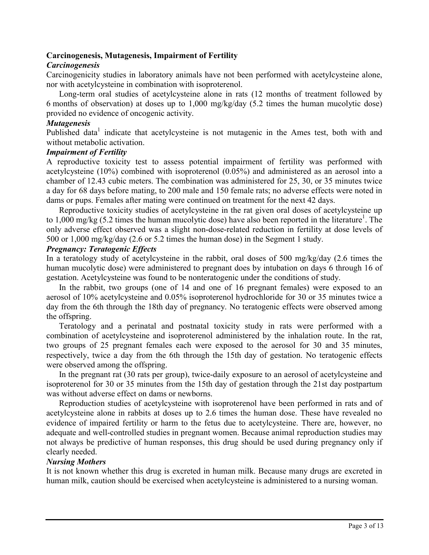## **Carcinogenesis, Mutagenesis, Impairment of Fertility**

#### *Carcinogenesis*

Carcinogenicity studies in laboratory animals have not been performed with acetylcysteine alone, nor with acetylcysteine in combination with isoproterenol.

Long-term oral studies of acetylcysteine alone in rats (12 months of treatment followed by 6 months of observation) at doses up to 1,000 mg/kg/day (5.2 times the human mucolytic dose) provided no evidence of oncogenic activity.

#### *Mutagenesis*

Published data<sup>1</sup> indicate that acetylcysteine is not mutagenic in the Ames test, both with and without metabolic activation.

#### *Impairment of Fertility*

A reproductive toxicity test to assess potential impairment of fertility was performed with acetylcysteine (10%) combined with isoproterenol (0.05%) and administered as an aerosol into a chamber of 12.43 cubic meters. The combination was administered for 25, 30, or 35 minutes twice a day for 68 days before mating, to 200 male and 150 female rats; no adverse effects were noted in dams or pups. Females after mating were continued on treatment for the next 42 days.

Reproductive toxicity studies of acetylcysteine in the rat given oral doses of acetylcysteine up to  $1,000$  mg/kg (5.2 times the human mucolytic dose) have also been reported in the literature<sup>1</sup>. The only adverse effect observed was a slight non-dose-related reduction in fertility at dose levels of 500 or 1,000 mg/kg/day (2.6 or 5.2 times the human dose) in the Segment 1 study.

#### *Pregnancy: Teratogenic Effects*

In a teratology study of acetylcysteine in the rabbit, oral doses of 500 mg/kg/day (2.6 times the human mucolytic dose) were administered to pregnant does by intubation on days 6 through 16 of gestation. Acetylcysteine was found to be nonteratogenic under the conditions of study.

In the rabbit, two groups (one of 14 and one of 16 pregnant females) were exposed to an aerosol of 10% acetylcysteine and 0.05% isoproterenol hydrochloride for 30 or 35 minutes twice a day from the 6th through the 18th day of pregnancy. No teratogenic effects were observed among the offspring.

Teratology and a perinatal and postnatal toxicity study in rats were performed with a combination of acetylcysteine and isoproterenol administered by the inhalation route. In the rat, two groups of 25 pregnant females each were exposed to the aerosol for 30 and 35 minutes, respectively, twice a day from the 6th through the 15th day of gestation. No teratogenic effects were observed among the offspring.

In the pregnant rat (30 rats per group), twice-daily exposure to an aerosol of acetylcysteine and isoproterenol for 30 or 35 minutes from the 15th day of gestation through the 21st day postpartum was without adverse effect on dams or newborns.

Reproduction studies of acetylcysteine with isoproterenol have been performed in rats and of acetylcysteine alone in rabbits at doses up to 2.6 times the human dose. These have revealed no evidence of impaired fertility or harm to the fetus due to acetylcysteine. There are, however, no adequate and well-controlled studies in pregnant women. Because animal reproduction studies may not always be predictive of human responses, this drug should be used during pregnancy only if clearly needed.

#### *Nursing Mothers*

It is not known whether this drug is excreted in human milk. Because many drugs are excreted in human milk, caution should be exercised when acetylcysteine is administered to a nursing woman.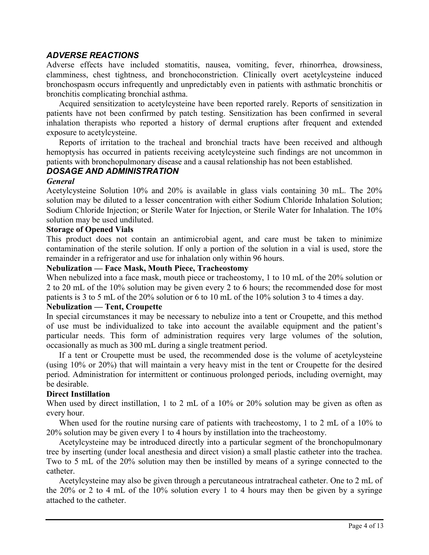# *ADVERSE REACTIONS*

Adverse effects have included stomatitis, nausea, vomiting, fever, rhinorrhea, drowsiness, clamminess, chest tightness, and bronchoconstriction. Clinically overt acetylcysteine induced bronchospasm occurs infrequently and unpredictably even in patients with asthmatic bronchitis or bronchitis complicating bronchial asthma.

Acquired sensitization to acetylcysteine have been reported rarely. Reports of sensitization in patients have not been confirmed by patch testing. Sensitization has been confirmed in several inhalation therapists who reported a history of dermal eruptions after frequent and extended exposure to acetylcysteine.

Reports of irritation to the tracheal and bronchial tracts have been received and although hemoptysis has occurred in patients receiving acetylcysteine such findings are not uncommon in patients with bronchopulmonary disease and a causal relationship has not been established.

## *DOSAGE AND ADMINISTRATION*

#### *General*

Acetylcysteine Solution 10% and 20% is available in glass vials containing 30 mL. The 20% solution may be diluted to a lesser concentration with either Sodium Chloride Inhalation Solution; Sodium Chloride Injection; or Sterile Water for Injection, or Sterile Water for Inhalation. The 10% solution may be used undiluted.

## **Storage of Opened Vials**

This product does not contain an antimicrobial agent, and care must be taken to minimize contamination of the sterile solution. If only a portion of the solution in a vial is used, store the remainder in a refrigerator and use for inhalation only within 96 hours.

#### **Nebulization — Face Mask, Mouth Piece, Tracheostomy**

When nebulized into a face mask, mouth piece or tracheostomy, 1 to 10 mL of the 20% solution or 2 to 20 mL of the 10% solution may be given every 2 to 6 hours; the recommended dose for most patients is 3 to 5 mL of the 20% solution or 6 to 10 mL of the 10% solution 3 to 4 times a day.

#### **Nebulization — Tent, Croupette**

In special circumstances it may be necessary to nebulize into a tent or Croupette, and this method of use must be individualized to take into account the available equipment and the patient's particular needs. This form of administration requires very large volumes of the solution, occasionally as much as 300 mL during a single treatment period.

If a tent or Croupette must be used, the recommended dose is the volume of acetylcysteine (using 10% or 20%) that will maintain a very heavy mist in the tent or Croupette for the desired period. Administration for intermittent or continuous prolonged periods, including overnight, may be desirable.

#### **Direct Instillation**

When used by direct instillation, 1 to 2 mL of a 10% or 20% solution may be given as often as every hour.

When used for the routine nursing care of patients with tracheostomy, 1 to 2 mL of a 10% to 20% solution may be given every 1 to 4 hours by instillation into the tracheostomy.

Acetylcysteine may be introduced directly into a particular segment of the bronchopulmonary tree by inserting (under local anesthesia and direct vision) a small plastic catheter into the trachea. Two to 5 mL of the 20% solution may then be instilled by means of a syringe connected to the catheter.

Acetylcysteine may also be given through a percutaneous intratracheal catheter. One to 2 mL of the 20% or 2 to 4 mL of the 10% solution every 1 to 4 hours may then be given by a syringe attached to the catheter.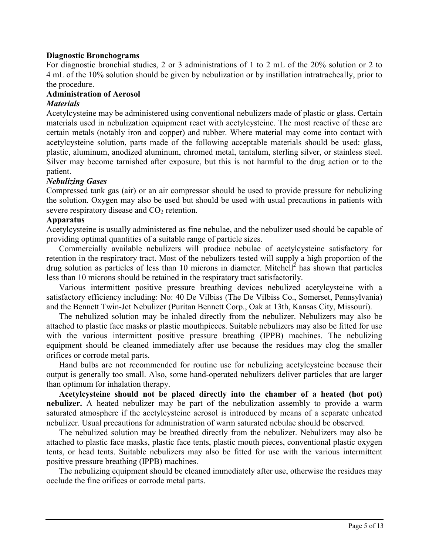#### **Diagnostic Bronchograms**

For diagnostic bronchial studies, 2 or 3 administrations of 1 to 2 mL of the 20% solution or 2 to 4 mL of the 10% solution should be given by nebulization or by instillation intratracheally, prior to the procedure.

## **Administration of Aerosol**

#### *Materials*

Acetylcysteine may be administered using conventional nebulizers made of plastic or glass. Certain materials used in nebulization equipment react with acetylcysteine. The most reactive of these are certain metals (notably iron and copper) and rubber. Where material may come into contact with acetylcysteine solution, parts made of the following acceptable materials should be used: glass, plastic, aluminum, anodized aluminum, chromed metal, tantalum, sterling silver, or stainless steel. Silver may become tarnished after exposure, but this is not harmful to the drug action or to the patient.

#### *Nebulizing Gases*

Compressed tank gas (air) or an air compressor should be used to provide pressure for nebulizing the solution. Oxygen may also be used but should be used with usual precautions in patients with severe respiratory disease and  $CO<sub>2</sub>$  retention.

## **Apparatus**

Acetylcysteine is usually administered as fine nebulae, and the nebulizer used should be capable of providing optimal quantities of a suitable range of particle sizes.

Commercially available nebulizers will produce nebulae of acetylcysteine satisfactory for retention in the respiratory tract. Most of the nebulizers tested will supply a high proportion of the drug solution as particles of less than 10 microns in diameter. Mitchell<sup>2</sup> has shown that particles less than 10 microns should be retained in the respiratory tract satisfactorily.

Various intermittent positive pressure breathing devices nebulized acetylcysteine with a satisfactory efficiency including: No: 40 De Vilbiss (The De Vilbiss Co., Somerset, Pennsylvania) and the Bennett Twin-Jet Nebulizer (Puritan Bennett Corp., Oak at 13th, Kansas City, Missouri).

The nebulized solution may be inhaled directly from the nebulizer. Nebulizers may also be attached to plastic face masks or plastic mouthpieces. Suitable nebulizers may also be fitted for use with the various intermittent positive pressure breathing (IPPB) machines. The nebulizing equipment should be cleaned immediately after use because the residues may clog the smaller orifices or corrode metal parts.

Hand bulbs are not recommended for routine use for nebulizing acetylcysteine because their output is generally too small. Also, some hand-operated nebulizers deliver particles that are larger than optimum for inhalation therapy.

**Acetylcysteine should not be placed directly into the chamber of a heated (hot pot) nebulizer.** A heated nebulizer may be part of the nebulization assembly to provide a warm saturated atmosphere if the acetylcysteine aerosol is introduced by means of a separate unheated nebulizer. Usual precautions for administration of warm saturated nebulae should be observed.

The nebulized solution may be breathed directly from the nebulizer. Nebulizers may also be attached to plastic face masks, plastic face tents, plastic mouth pieces, conventional plastic oxygen tents, or head tents. Suitable nebulizers may also be fitted for use with the various intermittent positive pressure breathing (IPPB) machines.

The nebulizing equipment should be cleaned immediately after use, otherwise the residues may occlude the fine orifices or corrode metal parts.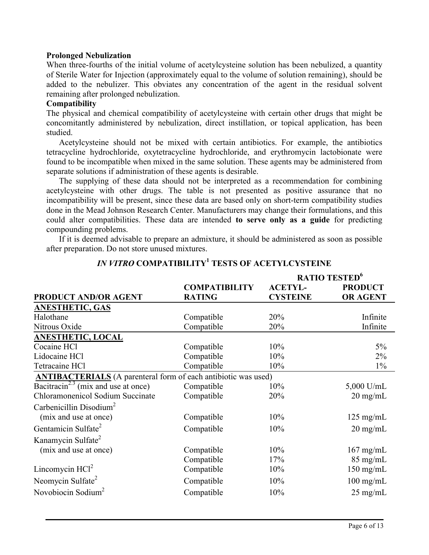#### **Prolonged Nebulization**

When three-fourths of the initial volume of acetylcysteine solution has been nebulized, a quantity of Sterile Water for Injection (approximately equal to the volume of solution remaining), should be added to the nebulizer. This obviates any concentration of the agent in the residual solvent remaining after prolonged nebulization.

#### **Compatibility**

The physical and chemical compatibility of acetylcysteine with certain other drugs that might be concomitantly administered by nebulization, direct instillation, or topical application, has been studied.

Acetylcysteine should not be mixed with certain antibiotics. For example, the antibiotics tetracycline hydrochloride, oxytetracycline hydrochloride, and erythromycin lactobionate were found to be incompatible when mixed in the same solution. These agents may be administered from separate solutions if administration of these agents is desirable.

The supplying of these data should not be interpreted as a recommendation for combining acetylcysteine with other drugs. The table is not presented as positive assurance that no incompatibility will be present, since these data are based only on short-term compatibility studies done in the Mead Johnson Research Center. Manufacturers may change their formulations, and this could alter compatibilities. These data are intended **to serve only as a guide** for predicting compounding problems.

If it is deemed advisable to prepare an admixture, it should be administered as soon as possible after preparation. Do not store unused mixtures.

|                                                                       |                      | RATIO TESTED <sup>6</sup> |                     |  |
|-----------------------------------------------------------------------|----------------------|---------------------------|---------------------|--|
|                                                                       | <b>COMPATIBILITY</b> | <b>ACETYL-</b>            | <b>PRODUCT</b>      |  |
| <b>PRODUCT AND/OR AGENT</b>                                           | <b>RATING</b>        | <b>CYSTEINE</b>           | <b>OR AGENT</b>     |  |
| <b>ANESTHETIC, GAS</b>                                                |                      |                           |                     |  |
| Halothane                                                             | Compatible           | 20%                       | Infinite            |  |
| Nitrous Oxide                                                         | Compatible           | 20%                       | Infinite            |  |
| <b>ANESTHETIC, LOCAL</b>                                              |                      |                           |                     |  |
| Cocaine HCl                                                           | Compatible           | 10%                       | $5\%$               |  |
| Lidocaine HCl                                                         | Compatible           | 10%                       | $2\%$               |  |
| Tetracaine HCl                                                        | Compatible           | 10%                       | $1\%$               |  |
| <b>ANTIBACTERIALS</b> (A parenteral form of each antibiotic was used) |                      |                           |                     |  |
| $\overline{\text{Bacitracin}}^{2.3}$ (mix and use at once)            | Compatible           | 10%                       | $5,000$ U/mL        |  |
| Chloramonenicol Sodium Succinate                                      | Compatible           | 20%                       | $20 \text{ mg/mL}$  |  |
| Carbenicillin Disodium <sup>2</sup>                                   |                      |                           |                     |  |
| (mix and use at once)                                                 | Compatible           | 10%                       | $125 \text{ mg/mL}$ |  |
| Gentamicin Sulfate <sup>2</sup>                                       | Compatible           | 10%                       | $20 \text{ mg/mL}$  |  |
| Kanamycin Sulfate <sup>2</sup>                                        |                      |                           |                     |  |
| (mix and use at once)                                                 | Compatible           | 10%                       | $167$ mg/mL         |  |
|                                                                       | Compatible           | 17%                       | $85$ mg/mL          |  |
| Lincomycin $HC12$                                                     | Compatible           | 10%                       | $150$ mg/mL         |  |
| Neomycin Sulfate <sup>2</sup>                                         | Compatible           | 10%                       | $100$ mg/mL         |  |
| Novobiocin Sodium <sup>2</sup>                                        | Compatible           | 10%                       | $25 \text{ mg/mL}$  |  |

# *IN VITRO* **COMPATIBILITY<sup>1</sup> TESTS OF ACETYLCYSTEINE**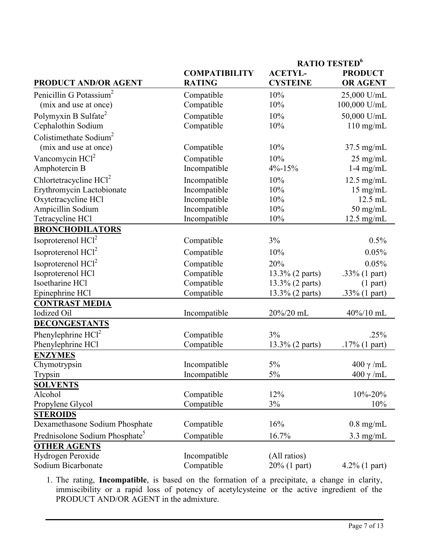|                                            |                      | RATIO TESTED <sup>6</sup> |                    |
|--------------------------------------------|----------------------|---------------------------|--------------------|
|                                            | <b>COMPATIBILITY</b> | <b>ACETYL-</b>            | <b>PRODUCT</b>     |
| <b>PRODUCT AND/OR AGENT</b>                | <b>RATING</b>        | <b>CYSTEINE</b>           | <b>OR AGENT</b>    |
| Penicillin G Potassium <sup>2</sup>        | Compatible           | 10%                       | 25,000 U/mL        |
| (mix and use at once)                      | Compatible           | 10%                       | 100,000 U/mL       |
| Polymyxin B Sulfate <sup>2</sup>           | Compatible           | 10%                       | 50,000 U/mL        |
| Cephalothin Sodium                         | Compatible           | 10%                       | $110$ mg/mL        |
| Colistimethate Sodium <sup>2</sup>         |                      |                           |                    |
| (mix and use at once)                      | Compatible           | 10%                       | $37.5$ mg/mL       |
| Vancomycin $HCl2$                          | Compatible           | 10%                       | $25 \text{ mg/mL}$ |
| Amphotercin B                              | Incompatible         | $4\% - 15\%$              | $1-4$ mg/mL        |
| Chlortetracycline $HCl2$                   | Incompatible         | 10%                       | $12.5$ mg/mL       |
| Erythromycin Lactobionate                  | Incompatible         | 10%                       | $15$ mg/mL         |
| Oxytetracycline HCl                        | Incompatible         | 10%                       | 12.5 mL            |
| Ampicillin Sodium                          | Incompatible         | 10%                       | $50$ mg/mL         |
| Tetracycline HCl                           | Incompatible         | 10%                       | $12.5$ mg/mL       |
| <b>BRONCHODILATORS</b>                     |                      |                           |                    |
| Isoproterenol HCl <sup>2</sup>             | Compatible           | 3%                        | 0.5%               |
| Isoproterenol HCl <sup>2</sup>             | Compatible           | 10%                       | 0.05%              |
| Isoproterenol HCl <sup>2</sup>             | Compatible           | 20%                       | 0.05%              |
| Isoproterenol HCl                          | Compatible           | 13.3% (2 parts)           | .33% (1 part)      |
| Isoetharine HCl                            | Compatible           | 13.3% (2 parts)           | $(1$ part)         |
| Epinephrine HCl                            | Compatible           | 13.3% (2 parts)           | .33% $(1$ part)    |
| <b>CONTRAST MEDIA</b>                      |                      |                           |                    |
| <b>Iodized Oil</b>                         | Incompatible         | 20%/20 mL                 | 40%/10 mL          |
| <b>DECONGESTANTS</b>                       |                      |                           |                    |
| Phenylephrine $HCl2$                       | Compatible           | 3%                        | .25%               |
| Phenylephrine HCl                          | Compatible           | 13.3% (2 parts)           | $.17\%$ (1 part)   |
| <b>ENZYMES</b>                             |                      |                           |                    |
| Chymotrypsin                               | Incompatible         | 5%                        | $400 \gamma$ /mL   |
| Trypsin                                    | Incompatible         | 5%                        | $400$ γ/mL         |
| <b>SOLVENTS</b>                            |                      |                           |                    |
| Alcohol                                    | Compatible           | 12%                       | $10\% - 20\%$      |
| Propylene Glycol                           | Compatible           | $3\%$                     | 10%                |
| <b>STEROIDS</b>                            |                      |                           |                    |
| Dexamethasone Sodium Phosphate             | Compatible           | 16%                       | $0.8$ mg/mL        |
| Prednisolone Sodium Phosphate <sup>5</sup> | Compatible           | 16.7%                     | $3.3$ mg/mL        |
| <b>OTHER AGENTS</b>                        |                      |                           |                    |
| Hydrogen Peroxide                          | Incompatible         | (All ratios)              |                    |
| Sodium Bicarbonate                         | Compatible           | 20% (1 part)              | $4.2\%$ (1 part)   |

1. The rating, **Incompatible**, is based on the formation of a precipitate, a change in clarity, immiscibility or a rapid loss of potency of acetylcysteine or the active ingredient of the PRODUCT AND/OR AGENT in the admixture.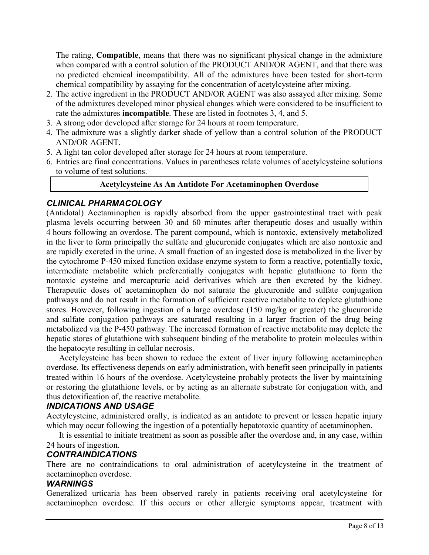The rating, **Compatible**, means that there was no significant physical change in the admixture when compared with a control solution of the PRODUCT AND/OR AGENT, and that there was no predicted chemical incompatibility. All of the admixtures have been tested for short-term chemical compatibility by assaying for the concentration of acetylcysteine after mixing.

- 2. The active ingredient in the PRODUCT AND/OR AGENT was also assayed after mixing. Some of the admixtures developed minor physical changes which were considered to be insufficient to rate the admixtures **incompatible**. These are listed in footnotes 3, 4, and 5.
- 3. A strong odor developed after storage for 24 hours at room temperature.
- 4. The admixture was a slightly darker shade of yellow than a control solution of the PRODUCT AND/OR AGENT.
- 5. A light tan color developed after storage for 24 hours at room temperature.
- 6. Entries are final concentrations. Values in parentheses relate volumes of acetylcysteine solutions to volume of test solutions.

#### **Acetylcysteine As An Antidote For Acetaminophen Overdose**

# *CLINICAL PHARMACOLOGY*

(Antidotal) Acetaminophen is rapidly absorbed from the upper gastrointestinal tract with peak plasma levels occurring between 30 and 60 minutes after therapeutic doses and usually within 4 hours following an overdose. The parent compound, which is nontoxic, extensively metabolized in the liver to form principally the sulfate and glucuronide conjugates which are also nontoxic and are rapidly excreted in the urine. A small fraction of an ingested dose is metabolized in the liver by the cytochrome P-450 mixed function oxidase enzyme system to form a reactive, potentially toxic, intermediate metabolite which preferentially conjugates with hepatic glutathione to form the nontoxic cysteine and mercapturic acid derivatives which are then excreted by the kidney. Therapeutic doses of acetaminophen do not saturate the glucuronide and sulfate conjugation pathways and do not result in the formation of sufficient reactive metabolite to deplete glutathione stores. However, following ingestion of a large overdose (150 mg/kg or greater) the glucuronide and sulfate conjugation pathways are saturated resulting in a larger fraction of the drug being metabolized via the P-450 pathway. The increased formation of reactive metabolite may deplete the hepatic stores of glutathione with subsequent binding of the metabolite to protein molecules within the hepatocyte resulting in cellular necrosis.

Acetylcysteine has been shown to reduce the extent of liver injury following acetaminophen overdose. Its effectiveness depends on early administration, with benefit seen principally in patients treated within 16 hours of the overdose. Acetylcysteine probably protects the liver by maintaining or restoring the glutathione levels, or by acting as an alternate substrate for conjugation with, and thus detoxification of, the reactive metabolite.

## *INDICATIONS AND USAGE*

Acetylcysteine, administered orally, is indicated as an antidote to prevent or lessen hepatic injury which may occur following the ingestion of a potentially hepatotoxic quantity of acetaminophen.

It is essential to initiate treatment as soon as possible after the overdose and, in any case, within 24 hours of ingestion.

## *CONTRAINDICATIONS*

There are no contraindications to oral administration of acetylcysteine in the treatment of acetaminophen overdose.

#### *WARNINGS*

Generalized urticaria has been observed rarely in patients receiving oral acetylcysteine for acetaminophen overdose. If this occurs or other allergic symptoms appear, treatment with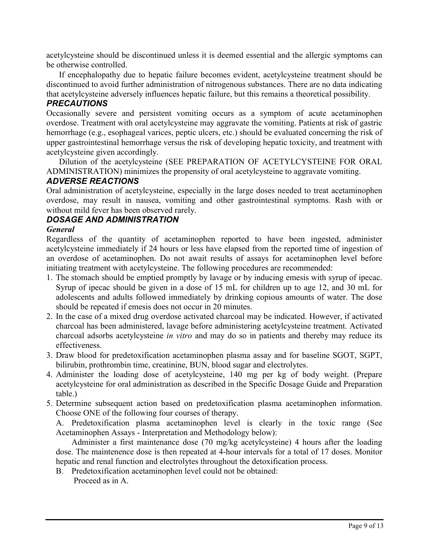acetylcysteine should be discontinued unless it is deemed essential and the allergic symptoms can be otherwise controlled.

If encephalopathy due to hepatic failure becomes evident, acetylcysteine treatment should be discontinued to avoid further administration of nitrogenous substances. There are no data indicating that acetylcysteine adversely influences hepatic failure, but this remains a theoretical possibility.

# *PRECAUTIONS*

Occasionally severe and persistent vomiting occurs as a symptom of acute acetaminophen overdose. Treatment with oral acetylcysteine may aggravate the vomiting. Patients at risk of gastric hemorrhage (e.g., esophageal varices, peptic ulcers, etc.) should be evaluated concerning the risk of upper gastrointestinal hemorrhage versus the risk of developing hepatic toxicity, and treatment with acetylcysteine given accordingly.

Dilution of the acetylcysteine (SEE PREPARATION OF ACETYLCYSTEINE FOR ORAL ADMINISTRATION) minimizes the propensity of oral acetylcysteine to aggravate vomiting.

# *ADVERSE REACTIONS*

Oral administration of acetylcysteine, especially in the large doses needed to treat acetaminophen overdose, may result in nausea, vomiting and other gastrointestinal symptoms. Rash with or without mild fever has been observed rarely.

# *DOSAGE AND ADMINISTRATION*

# *General*

Regardless of the quantity of acetaminophen reported to have been ingested, administer acetylcysteine immediately if 24 hours or less have elapsed from the reported time of ingestion of an overdose of acetaminophen. Do not await results of assays for acetaminophen level before initiating treatment with acetylcysteine. The following procedures are recommended:

- 1. The stomach should be emptied promptly by lavage or by inducing emesis with syrup of ipecac. Syrup of ipecac should be given in a dose of 15 mL for children up to age 12, and 30 mL for adolescents and adults followed immediately by drinking copious amounts of water. The dose should be repeated if emesis does not occur in 20 minutes.
- 2. In the case of a mixed drug overdose activated charcoal may be indicated. However, if activated charcoal has been administered, lavage before administering acetylcysteine treatment. Activated charcoal adsorbs acetylcysteine *in vitro* and may do so in patients and thereby may reduce its effectiveness.
- 3. Draw blood for predetoxification acetaminophen plasma assay and for baseline SGOT, SGPT, bilirubin, prothrombin time, creatinine, BUN, blood sugar and electrolytes.
- 4. Administer the loading dose of acetylcysteine, 140 mg per kg of body weight. (Prepare acetylcysteine for oral administration as described in the Specific Dosage Guide and Preparation table.)
- 5. Determine subsequent action based on predetoxification plasma acetaminophen information. Choose ONE of the following four courses of therapy.

A. Predetoxification plasma acetaminophen level is clearly in the toxic range (See Acetaminophen Assays - Interpretation and Methodology below):

Administer a first maintenance dose (70 mg/kg acetylcysteine) 4 hours after the loading dose. The maintenence dose is then repeated at 4-hour intervals for a total of 17 doses. Monitor hepatic and renal function and electrolytes throughout the detoxification process.

B. Predetoxification acetaminophen level could not be obtained:

Proceed as in A.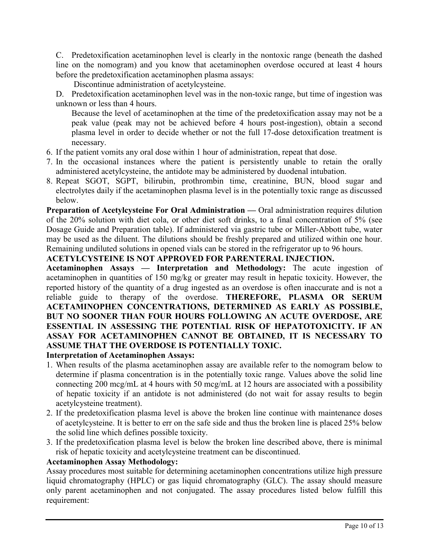C. Predetoxification acetaminophen level is clearly in the nontoxic range (beneath the dashed line on the nomogram) and you know that acetaminophen overdose occured at least 4 hours before the predetoxification acetaminophen plasma assays:

Discontinue administration of acetylcysteine.

D. Predetoxification acetaminophen level was in the non-toxic range, but time of ingestion was unknown or less than 4 hours.

Because the level of acetaminophen at the time of the predetoxification assay may not be a peak value (peak may not be achieved before 4 hours post-ingestion), obtain a second plasma level in order to decide whether or not the full 17-dose detoxification treatment is necessary.

- 6. If the patient vomits any oral dose within 1 hour of administration, repeat that dose.
- 7. In the occasional instances where the patient is persistently unable to retain the orally administered acetylcysteine, the antidote may be administered by duodenal intubation.
- 8. Repeat SGOT, SGPT, bilirubin, prothrombin time, creatinine, BUN, blood sugar and electrolytes daily if the acetaminophen plasma level is in the potentially toxic range as discussed below.

**Preparation of Acetylcysteine For Oral Administration —** Oral administration requires dilution of the 20% solution with diet cola, or other diet soft drinks, to a final concentration of 5% (see Dosage Guide and Preparation table). If administered via gastric tube or Miller-Abbott tube, water may be used as the diluent. The dilutions should be freshly prepared and utilized within one hour. Remaining undiluted solutions in opened vials can be stored in the refrigerator up to 96 hours.

## **ACETYLCYSTEINE IS NOT APPROVED FOR PARENTERAL INJECTION.**

**Acetaminophen Assays — Interpretation and Methodology:** The acute ingestion of acetaminophen in quantities of 150 mg/kg or greater may result in hepatic toxicity. However, the reported history of the quantity of a drug ingested as an overdose is often inaccurate and is not a reliable guide to therapy of the overdose. **THEREFORE, PLASMA OR SERUM ACETAMINOPHEN CONCENTRATIONS, DETERMINED AS EARLY AS POSSIBLE, BUT NO SOONER THAN FOUR HOURS FOLLOWING AN ACUTE OVERDOSE, ARE ESSENTIAL IN ASSESSING THE POTENTIAL RISK OF HEPATOTOXICITY. IF AN ASSAY FOR ACETAMINOPHEN CANNOT BE OBTAINED, IT IS NECESSARY TO ASSUME THAT THE OVERDOSE IS POTENTIALLY TOXIC. Interpretation of Acetaminophen Assays:**

- 1. When results of the plasma acetaminophen assay are available refer to the nomogram below to determine if plasma concentration is in the potentially toxic range. Values above the solid line connecting 200 mcg/mL at 4 hours with 50 mcg/mL at 12 hours are associated with a possibility of hepatic toxicity if an antidote is not administered (do not wait for assay results to begin acetylcysteine treatment).
- 2. If the predetoxification plasma level is above the broken line continue with maintenance doses of acetylcysteine. It is better to err on the safe side and thus the broken line is placed 25% below the solid line which defines possible toxicity.
- 3. If the predetoxification plasma level is below the broken line described above, there is minimal risk of hepatic toxicity and acetylcysteine treatment can be discontinued.

## **Acetaminophen Assay Methodology:**

Assay procedures most suitable for determining acetaminophen concentrations utilize high pressure liquid chromatography (HPLC) or gas liquid chromatography (GLC). The assay should measure only parent acetaminophen and not conjugated. The assay procedures listed below fulfill this requirement: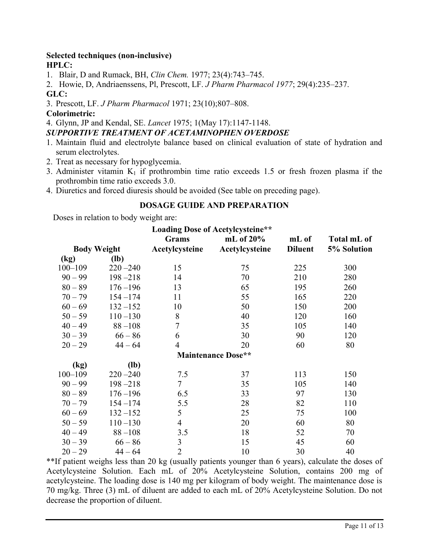#### **Selected techniques (non-inclusive) HPLC:**

1. Blair, D and Rumack, BH, *Clin Chem.* 1977; 23(4):743–745.

2. Howie, D, Andriaenssens, Pl, Prescott, LF. *J Pharm Pharmacol 1977*; 29(4):235–237. **GLC:**

3. Prescott, LF. *J Pharm Pharmacol* 1971; 23(10);807–808.

## **Colorimetric:**

4. Glynn, JP and Kendal, SE. *Lancet* 1975; 1(May 17):1147-1148.

## *SUPPORTIVE TREATMENT OF ACETAMINOPHEN OVERDOSE*

- 1. Maintain fluid and electrolyte balance based on clinical evaluation of state of hydration and serum electrolytes.
- 2. Treat as necessary for hypoglycemia.
- 3. Administer vitamin  $K_1$  if prothrombin time ratio exceeds 1.5 or fresh frozen plasma if the prothrombin time ratio exceeds 3.0.
- 4. Diuretics and forced diuresis should be avoided (See table on preceding page).

# **DOSAGE GUIDE AND PREPARATION**

Doses in relation to body weight are:

| <b>Loading Dose of Acetylcysteine**</b> |             |                                |                                |                         |                            |
|-----------------------------------------|-------------|--------------------------------|--------------------------------|-------------------------|----------------------------|
| <b>Body Weight</b>                      |             | <b>Grams</b><br>Acetylcysteine | mL of $20\%$<br>Acetylcysteine | mL of<br><b>Diluent</b> | Total mL of<br>5% Solution |
| (kg)                                    | $(lb)$      |                                |                                |                         |                            |
| $100 - 109$                             | $220 - 240$ | 15                             | 75                             | 225                     | 300                        |
| $90 - 99$                               | $198 - 218$ | 14                             | 70                             | 210                     | 280                        |
| $80 - 89$                               | $176 - 196$ | 13                             | 65                             | 195                     | 260                        |
| $70 - 79$                               | $154 - 174$ | 11                             | 55                             | 165                     | 220                        |
| $60 - 69$                               | $132 - 152$ | 10                             | 50                             | 150                     | 200                        |
| $50 - 59$                               | $110 - 130$ | $8\,$                          | 40                             | 120                     | 160                        |
| $40 - 49$                               | $88 - 108$  | $\overline{7}$                 | 35                             | 105                     | 140                        |
| $30 - 39$                               | $66 - 86$   | 6                              | 30                             | 90                      | 120                        |
| $20 - 29$                               | $44 - 64$   | $\overline{4}$                 | 20                             | 60                      | 80                         |
|                                         |             |                                | <b>Maintenance Dose**</b>      |                         |                            |
| (kg)                                    | $(lb)$      |                                |                                |                         |                            |
| $100 - 109$                             | $220 - 240$ | 7.5                            | 37                             | 113                     | 150                        |
| $90 - 99$                               | $198 - 218$ | $\overline{7}$                 | 35                             | 105                     | 140                        |
| $80 - 89$                               | $176 - 196$ | 6.5                            | 33                             | 97                      | 130                        |
| $70 - 79$                               | $154 - 174$ | 5.5                            | 28                             | 82                      | 110                        |
| $60 - 69$                               | $132 - 152$ | 5                              | 25                             | 75                      | 100                        |
| $50 - 59$                               | $110 - 130$ | $\overline{4}$                 | 20                             | 60                      | 80                         |
| $40 - 49$                               | $88 - 108$  | 3.5                            | 18                             | 52                      | 70                         |
| $30 - 39$                               | $66 - 86$   | 3                              | 15                             | 45                      | 60                         |
| $20 - 29$                               | $44 - 64$   | $\overline{2}$                 | 10                             | 30                      | 40                         |

\*\*If patient weighs less than 20 kg (usually patients younger than 6 years), calculate the doses of Acetylcysteine Solution. Each mL of 20% Acetylcysteine Solution, contains 200 mg of acetylcysteine. The loading dose is 140 mg per kilogram of body weight. The maintenance dose is 70 mg/kg. Three (3) mL of diluent are added to each mL of 20% Acetylcysteine Solution. Do not decrease the proportion of diluent.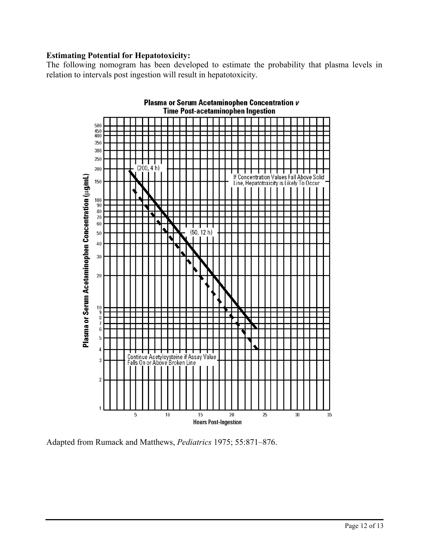## **Estimating Potential for Hepatotoxicity:**

The following nomogram has been developed to estimate the probability that plasma levels in relation to intervals post ingestion will result in hepatotoxicity.



Adapted from Rumack and Matthews, *Pediatrics* 1975; 55:871–876.